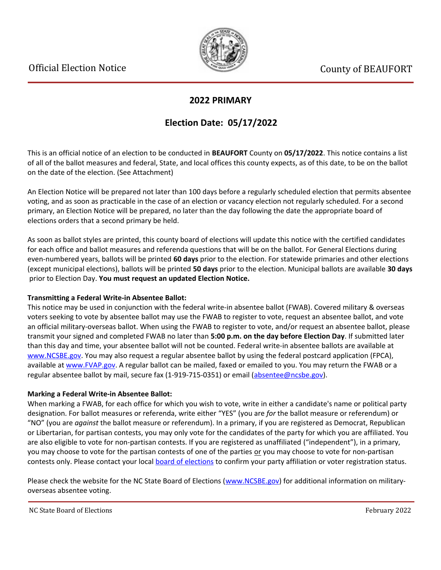

### **2022 PRIMARY**

## **Election Date: 05/17/2022**

This is an official notice of an election to be conducted in **BEAUFORT** County on **05/17/2022**. This notice contains a list of all of the ballot measures and federal, State, and local offices this county expects, as of this date, to be on the ballot on the date of the election. (See Attachment)

An Election Notice will be prepared not later than 100 days before a regularly scheduled election that permits absentee voting, and as soon as practicable in the case of an election or vacancy election not regularly scheduled. For a second primary, an Election Notice will be prepared, no later than the day following the date the appropriate board of elections orders that a second primary be held.

As soon as ballot styles are printed, this county board of elections will update this notice with the certified candidates for each office and ballot measures and referenda questions that will be on the ballot. For General Elections during even-numbered years, ballots will be printed **60 days** prior to the election. For statewide primaries and other elections (except municipal elections), ballots will be printed **50 days** prior to the election. Municipal ballots are available **30 days** prior to Election Day. **You must request an updated Election Notice.**

#### **Transmitting a Federal Write-in Absentee Ballot:**

This notice may be used in conjunction with the federal write-in absentee ballot (FWAB). Covered military & overseas voters seeking to vote by absentee ballot may use the FWAB to register to vote, request an absentee ballot, and vote an official military-overseas ballot. When using the FWAB to register to vote, and/or request an absentee ballot, please transmit your signed and completed FWAB no later than **5:00 p.m. on the day before Election Day**. If submitted later than this day and time, your absentee ballot will not be counted. Federal write-in absentee ballots are available at [www.NCSBE.gov.](https://www.ncsbe.gov/) You may also request a regular absentee ballot by using the federal postcard application (FPCA), available at [www.FVAP.gov](https://www.fvap.gov/). A regular ballot can be mailed, faxed or emailed to you. You may return the FWAB or a regular absentee ballot by mail, secure fax (1-919-715-0351) or email (absentee@ncsbe.gov).

#### **Marking a Federal Write-in Absentee Ballot:**

When marking a FWAB, for each office for which you wish to vote, write in either a candidate's name or political party designation. For ballot measures or referenda, write either "YES" (you are *for* the ballot measure or referendum) or "NO" (you are *against* the ballot measure or referendum). In a primary, if you are registered as Democrat, Republican or Libertarian, for partisan contests, you may only vote for the candidates of the party for which you are affiliated. You are also eligible to vote for non-partisan contests. If you are registered as unaffiliated ("independent"), in a primary, you may choose to vote for the partisan contests of one of the parties or you may choose to vote for non-partisan contests only. Please contact your local [board of elections](https://vt.ncsbe.gov/BOEInfo/) to confirm your party affiliation or voter registration status.

Please check the website for the NC State Board of Elections ([www.NCSBE.gov\)](https://www.ncsbe.gov/) for additional information on militaryoverseas absentee voting.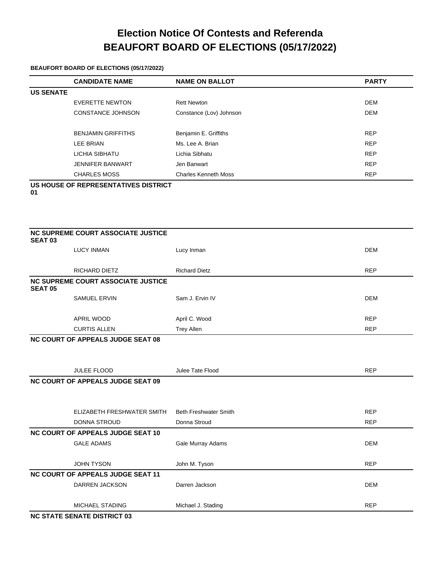# **Election Notice Of Contests and Referenda BEAUFORT BOARD OF ELECTIONS (05/17/2022)**

#### **BEAUFORT BOARD OF ELECTIONS (05/17/2022)**

|                  | <b>CANDIDATE NAME</b>     | <b>NAME ON BALLOT</b>       | <b>PARTY</b> |
|------------------|---------------------------|-----------------------------|--------------|
| <b>US SENATE</b> |                           |                             |              |
|                  | EVERETTE NEWTON           | <b>Rett Newton</b>          | <b>DEM</b>   |
|                  | <b>CONSTANCE JOHNSON</b>  | Constance (Lov) Johnson     | <b>DEM</b>   |
|                  |                           |                             |              |
|                  | <b>BENJAMIN GRIFFITHS</b> | Benjamin E. Griffiths       | <b>REP</b>   |
|                  | LEE BRIAN                 | Ms. Lee A. Brian            | <b>REP</b>   |
|                  | LICHIA SIBHATU            | Lichia Sibhatu              | <b>REP</b>   |
|                  | <b>JENNIFER BANWART</b>   | Jen Banwart                 | <b>REP</b>   |
|                  | <b>CHARLES MOSS</b>       | <b>Charles Kenneth Moss</b> | <b>REP</b>   |
|                  |                           |                             |              |

**US HOUSE OF REPRESENTATIVES DISTRICT** 

**01**

| <b>SEAT 03</b> | NC SUPREME COURT ASSOCIATE JUSTICE       |                      |            |
|----------------|------------------------------------------|----------------------|------------|
|                | <b>LUCY INMAN</b>                        | Lucy Inman           | <b>DEM</b> |
|                | <b>RICHARD DIETZ</b>                     | <b>Richard Dietz</b> | <b>REP</b> |
| <b>SEAT 05</b> | NC SUPREME COURT ASSOCIATE JUSTICE       |                      |            |
|                | <b>SAMUEL ERVIN</b>                      | Sam J. Ervin IV      | DEM        |
|                | APRIL WOOD                               | April C. Wood        | <b>REP</b> |
|                | <b>CURTIS ALLEN</b>                      | <b>Trey Allen</b>    | <b>REP</b> |
|                | <b>NC COURT OF APPEALS JUDGE SEAT 08</b> |                      |            |

| <b>JULEE FLOOD</b>                       | Julee Tate Flood             | <b>REP</b> |
|------------------------------------------|------------------------------|------------|
| <b>NC COURT OF APPEALS JUDGE SEAT 09</b> |                              |            |
|                                          |                              |            |
| ELIZABETH FRESHWATER SMITH               | <b>Beth Freshwater Smith</b> | <b>REP</b> |
| DONNA STROUD                             | Donna Stroud                 | <b>REP</b> |
| <b>NC COURT OF APPEALS JUDGE SEAT 10</b> |                              |            |
| <b>GALE ADAMS</b>                        | Gale Murray Adams            | <b>DEM</b> |
| <b>JOHN TYSON</b>                        | John M. Tyson                | <b>REP</b> |
| NC COURT OF APPEALS JUDGE SEAT 11        |                              |            |
| <b>DARREN JACKSON</b>                    | Darren Jackson               | <b>DEM</b> |
| MICHAEL STADING                          | Michael J. Stading           | <b>REP</b> |
| <b>NC STATE SENATE DISTRICT 03</b>       |                              |            |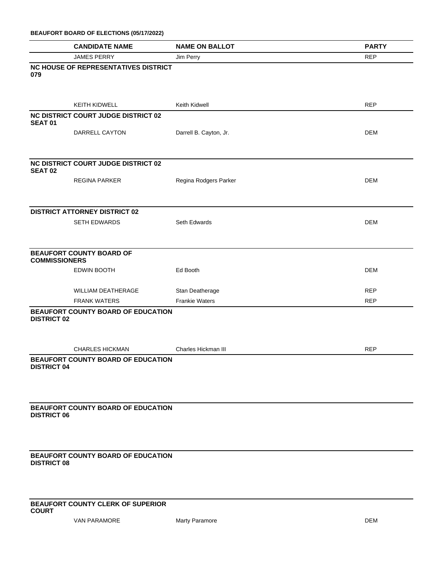| BEAUFORT BOARD OF ELECTIONS (05/17/2022) |  |  |  |  |  |
|------------------------------------------|--|--|--|--|--|
|------------------------------------------|--|--|--|--|--|

|                      | <b>CANDIDATE NAME</b>                      | <b>NAME ON BALLOT</b>  | <b>PARTY</b> |
|----------------------|--------------------------------------------|------------------------|--------------|
|                      | <b>JAMES PERRY</b>                         | Jim Perry              | <b>REP</b>   |
| 079                  | NC HOUSE OF REPRESENTATIVES DISTRICT       |                        |              |
|                      | KEITH KIDWELL                              | Keith Kidwell          | <b>REP</b>   |
| <b>SEAT 01</b>       | <b>NC DISTRICT COURT JUDGE DISTRICT 02</b> |                        |              |
|                      | DARRELL CAYTON                             | Darrell B. Cayton, Jr. | <b>DEM</b>   |
| <b>SEAT 02</b>       | <b>NC DISTRICT COURT JUDGE DISTRICT 02</b> |                        |              |
|                      | <b>REGINA PARKER</b>                       | Regina Rodgers Parker  | <b>DEM</b>   |
|                      | <b>DISTRICT ATTORNEY DISTRICT 02</b>       |                        |              |
|                      | SETH EDWARDS                               | Seth Edwards           | <b>DEM</b>   |
| <b>COMMISSIONERS</b> | <b>BEAUFORT COUNTY BOARD OF</b>            |                        |              |
|                      | <b>EDWIN BOOTH</b>                         | Ed Booth               | <b>DEM</b>   |
|                      | WILLIAM DEATHERAGE                         | Stan Deatherage        | <b>REP</b>   |
|                      | <b>FRANK WATERS</b>                        | <b>Frankie Waters</b>  | <b>REP</b>   |
| <b>DISTRICT 02</b>   | BEAUFORT COUNTY BOARD OF EDUCATION         |                        |              |
|                      | <b>CHARLES HICKMAN</b>                     | Charles Hickman III    | <b>REP</b>   |
| <b>DISTRICT 04</b>   | BEAUFORT COUNTY BOARD OF EDUCATION         |                        |              |
| <b>DISTRICT 06</b>   | BEAUFORT COUNTY BOARD OF EDUCATION         |                        |              |
| <b>DISTRICT 08</b>   | <b>BEAUFORT COUNTY BOARD OF EDUCATION</b>  |                        |              |
| <b>COURT</b>         | BEAUFORT COUNTY CLERK OF SUPERIOR          |                        |              |